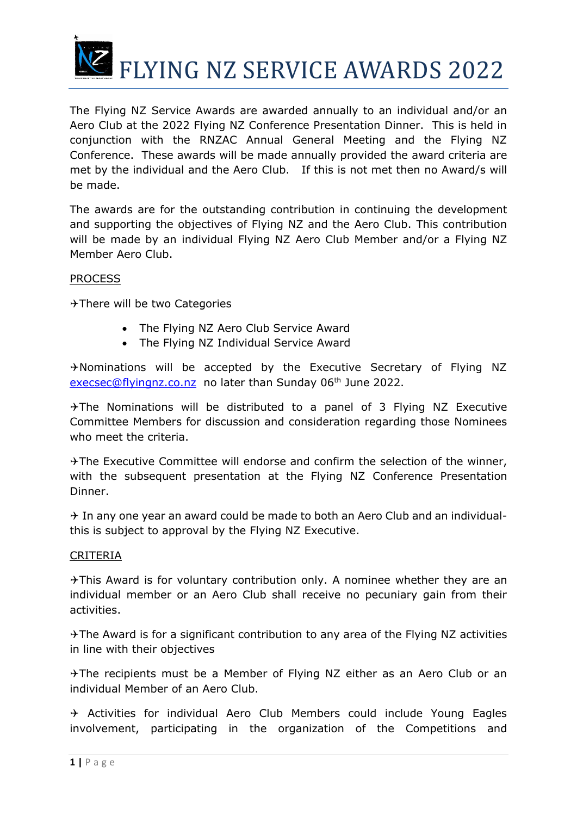

The Flying NZ Service Awards are awarded annually to an individual and/or an Aero Club at the 2022 Flying NZ Conference Presentation Dinner. This is held in conjunction with the RNZAC Annual General Meeting and the Flying NZ Conference. These awards will be made annually provided the award criteria are met by the individual and the Aero Club. If this is not met then no Award/s will be made.

The awards are for the outstanding contribution in continuing the development and supporting the objectives of Flying NZ and the Aero Club. This contribution will be made by an individual Flying NZ Aero Club Member and/or a Flying NZ Member Aero Club.

## **PROCESS**

\*There will be two Categories

- The Flying NZ Aero Club Service Award
- The Flying NZ Individual Service Award

 $\rightarrow$  Nominations will be accepted by the Executive Secretary of Flying NZ [execsec@flyingnz.co.nz](file:///C:/Users/lisam/Desktop/FNZ/Documents/RNZAC%20&%202013%20Onwards/Safety%20&%20Service%20Awards/Annual%20Awards/Service%20Safety%20Award%202014/Service%20Award%202014/execsec@flyingnz.co.nz) no later than Sunday 06<sup>th</sup> June 2022.

 $\rightarrow$  The Nominations will be distributed to a panel of 3 Flying NZ Executive Committee Members for discussion and consideration regarding those Nominees who meet the criteria.

\*The Executive Committee will endorse and confirm the selection of the winner, with the subsequent presentation at the Flying NZ Conference Presentation Dinner.

 $\rightarrow$  In any one year an award could be made to both an Aero Club and an individualthis is subject to approval by the Flying NZ Executive.

## CRITERIA

 $\rightarrow$ This Award is for voluntary contribution only. A nominee whether they are an individual member or an Aero Club shall receive no pecuniary gain from their activities.

 $\rightarrow$  The Award is for a significant contribution to any area of the Flying NZ activities in line with their objectives

The recipients must be a Member of Flying NZ either as an Aero Club or an individual Member of an Aero Club.

 $\rightarrow$  Activities for individual Aero Club Members could include Young Eagles involvement, participating in the organization of the Competitions and